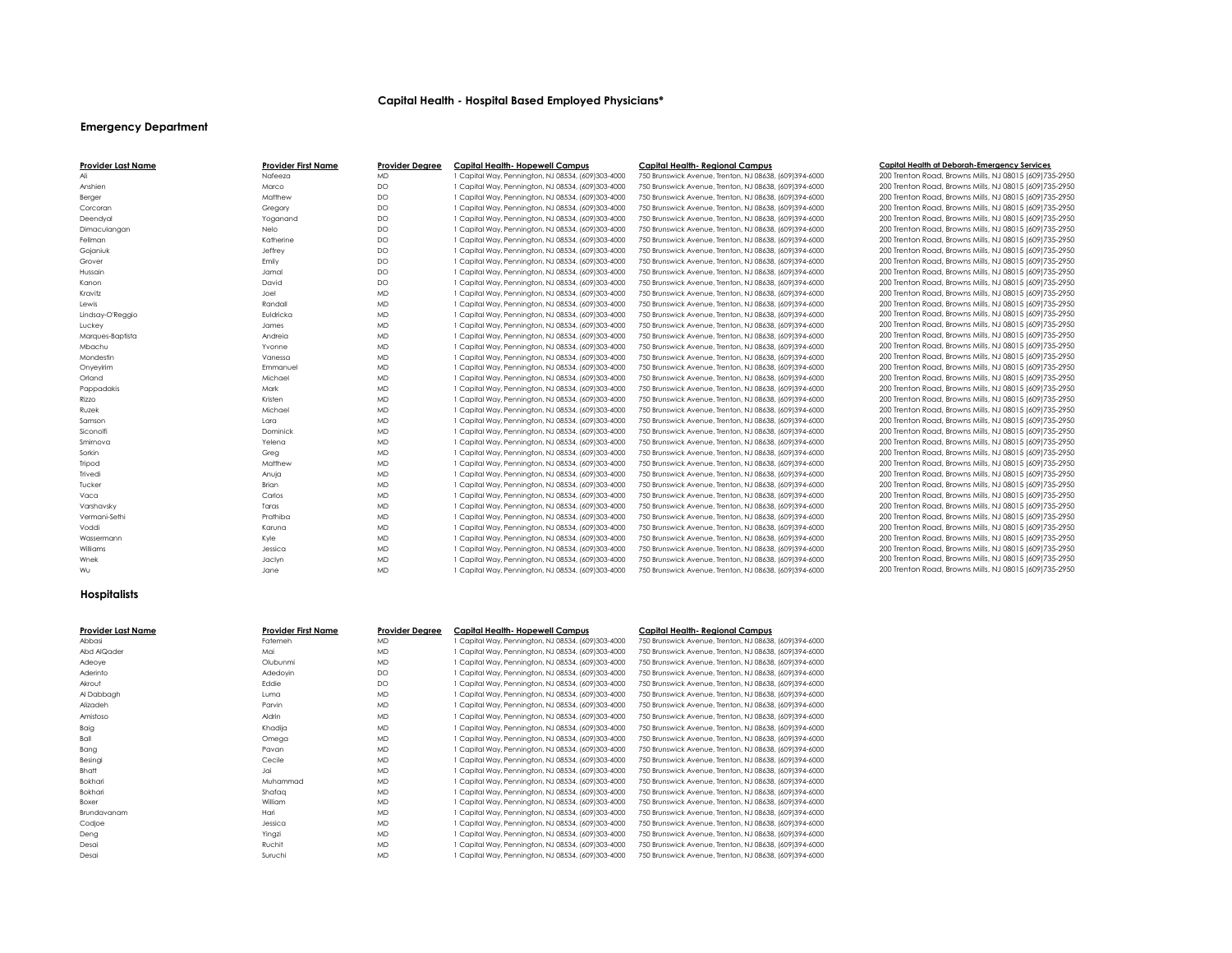# **Capital Health - Hospital Based Employed Physicians\***

## **Emergency Department**

| <b>Provider Last Name</b> | <b>Provider First Name</b> | <b>Provider Degree</b> | <b>Capital Health- Hopewell Campus</b>          |
|---------------------------|----------------------------|------------------------|-------------------------------------------------|
| Ali                       | Nafeeza                    | <b>MD</b>              | Capital Way, Pennington, NJ 08534, (609)303-4   |
| Anshien                   | Marco                      | <b>DO</b>              | Capital Way, Pennington, NJ 08534, (609)303-4   |
| Berger                    | Matthew                    | DO                     | 1 Capital Way, Pennington, NJ 08534, (609)303-4 |
| Corcoran                  | Gregory                    | DO                     | 1 Capital Way, Pennington, NJ 08534, (609)303-4 |
| Deendyal                  | Yoganand                   | <b>DO</b>              | 1 Capital Way, Pennington, NJ 08534, (609)303-4 |
| Dimaculangan              | Nelo                       | DO                     | 1 Capital Way, Pennington, NJ 08534, (609)303-4 |
| Fellman                   | Katherine                  | <b>DO</b>              | Capital Way, Pennington, NJ 08534, (609)303-4   |
| Gojaniuk                  | Jeffrey                    | DO                     | 1 Capital Way, Pennington, NJ 08534, (609)303-4 |
| Grover                    | Emily                      | DO                     | 1 Capital Way, Pennington, NJ 08534, (609)303-4 |
| Hussain                   | Jamal                      | <b>DO</b>              | 1 Capital Way, Pennington, NJ 08534, (609)303-4 |
| Kanon                     | David                      | DO                     | 1 Capital Way, Pennington, NJ 08534, (609)303-4 |
| Kravitz                   | Joel                       | <b>MD</b>              | Capital Way, Pennington, NJ 08534, (609)303-4   |
| Lewis                     | Randall                    | <b>MD</b>              | 1 Capital Way, Pennington, NJ 08534, (609)303-4 |
| Lindsay-O'Reggio          | Euldricka                  | <b>MD</b>              | 1 Capital Way, Pennington, NJ 08534, (609)303-4 |
| Luckey                    | James                      | <b>MD</b>              | 1 Capital Way, Pennington, NJ 08534, (609)303-4 |
| Marques-Baptista          | Andreia                    | <b>MD</b>              | 1 Capital Way, Pennington, NJ 08534, (609)303-4 |
| Mbachu                    | Yvonne                     | <b>MD</b>              | 1 Capital Way, Pennington, NJ 08534, (609)303-4 |
| Mondestin                 | Vanessa                    | <b>MD</b>              | 1 Capital Way, Pennington, NJ 08534, (609)303-4 |
| Onyeyirim                 | Emmanuel                   | <b>MD</b>              | Capital Way, Pennington, NJ 08534, (609)303-4   |
| Orland                    | Michael                    | <b>MD</b>              | 1 Capital Way, Pennington, NJ 08534, (609)303-4 |
| Pappadakis                | Mark                       | <b>MD</b>              | 1 Capital Way, Pennington, NJ 08534, (609)303-4 |
| Rizzo                     | Kristen                    | <b>MD</b>              | 1 Capital Way, Pennington, NJ 08534, (609)303-4 |
| Ruzek                     | Michael                    | <b>MD</b>              | 1 Capital Way, Pennington, NJ 08534, (609)303-4 |
| Samson                    | Lara                       | <b>MD</b>              | 1 Capital Way, Pennington, NJ 08534, (609)303-4 |
| Siconolfi                 | Dominick                   | <b>MD</b>              | 1 Capital Way, Pennington, NJ 08534, (609)303-4 |
| Smirnova                  | Yelena                     | <b>MD</b>              | 1 Capital Way, Pennington, NJ 08534, (609)303-4 |
| Sorkin                    | Greg                       | <b>MD</b>              | 1 Capital Way, Pennington, NJ 08534, (609)303-4 |
| Tripod                    | Matthew                    | <b>MD</b>              | Capital Way, Pennington, NJ 08534, (609)303-4   |
| Trivedi                   | Anuja                      | <b>MD</b>              | 1 Capital Way, Pennington, NJ 08534, (609)303-4 |
| Tucker                    | <b>Brian</b>               | <b>MD</b>              | 1 Capital Way, Pennington, NJ 08534, (609)303-4 |
| Vaca                      | Carlos                     | <b>MD</b>              | 1 Capital Way, Pennington, NJ 08534, (609)303-4 |
| Varshavsky                | Taras                      | <b>MD</b>              | 1 Capital Way, Pennington, NJ 08534, (609)303-4 |
| Vermani-Sethi             | Prathiba                   | <b>MD</b>              | 1 Capital Way, Pennington, NJ 08534, (609)303-4 |
| Voddi                     | Karuna                     | <b>MD</b>              | 1 Capital Way, Pennington, NJ 08534, (609)303-4 |
| Wassermann                | Kyle                       | <b>MD</b>              | 1 Capital Way, Pennington, NJ 08534, (609)303-4 |
| Williams                  | Jessica                    | <b>MD</b>              | 1 Capital Way, Pennington, NJ 08534, (609)303-4 |
| Wnek                      | Jaclyn                     | <b>MD</b>              | 1 Capital Way, Pennington, NJ 08534, (609)303-4 |
| Wu                        | Jane                       | <b>MD</b>              | 1 Capital Way, Pennington, NJ 08534, (609)303-4 |

## **Provider Last Name Provider First Name Provider Degree Capital Health- Hopewell Campus Capital Health- Regional Campus Capital Health at Deborah-Emergency Services**

Ali Nafeeza MD 1 Capital Way, Pennington, NJ 08534, (609)303-4000 750 Brunswick Avenue, Trenton, NJ 08638, (609)394-6000 200 Trenton Road, Browns Mills, NJ 08015 (609)735-2950

## **Hospitalists**

| <b>Provider Last Name</b> | <b>Provider First Name</b> | <b>Provider Degree</b> | <b>Capital Health- Hopewell Campus</b>             | <b>Capital Health- Regional Campus</b>                 |
|---------------------------|----------------------------|------------------------|----------------------------------------------------|--------------------------------------------------------|
| Abbasi                    | Fatemeh                    | <b>MD</b>              | 1 Capital Way, Pennington, NJ 08534, (609)303-4000 | 750 Brunswick Avenue, Trenton, NJ 08638, (609)394-6000 |
| Abd AlQader               | Mai                        | <b>MD</b>              | 1 Capital Way, Pennington, NJ 08534, (609)303-4000 | 750 Brunswick Avenue, Trenton, NJ 08638, (609)394-6000 |
| Adeoye                    | Olubunmi                   | <b>MD</b>              | 1 Capital Way, Pennington, NJ 08534, (609)303-4000 | 750 Brunswick Avenue, Trenton, NJ 08638, (609)394-6000 |
| Aderinto                  | Adedoyin                   | DO                     | 1 Capital Way, Pennington, NJ 08534, (609)303-4000 | 750 Brunswick Avenue, Trenton, NJ 08638, (609)394-6000 |
| Akrout                    | Eddie                      | <b>DO</b>              | 1 Capital Way, Pennington, NJ 08534, (609)303-4000 | 750 Brunswick Avenue, Trenton, NJ 08638, (609)394-6000 |
| Al Dabbagh                | Luma                       | <b>MD</b>              | 1 Capital Way, Pennington, NJ 08534, (609)303-4000 | 750 Brunswick Avenue, Trenton, NJ 08638, (609)394-6000 |
| Alizadeh                  | Parvin                     | <b>MD</b>              | 1 Capital Way, Pennington, NJ 08534, (609)303-4000 | 750 Brunswick Avenue, Trenton, NJ 08638, (609)394-6000 |
| Amistoso                  | Aldrin                     | <b>MD</b>              | 1 Capital Way, Pennington, NJ 08534, (609)303-4000 | 750 Brunswick Avenue, Trenton, NJ 08638, (609)394-6000 |
| Baig                      | Khadija                    | <b>MD</b>              | 1 Capital Way, Pennington, NJ 08534, (609)303-4000 | 750 Brunswick Avenue, Trenton, NJ 08638, (609)394-6000 |
| Ball                      | Omega                      | <b>MD</b>              | 1 Capital Way, Pennington, NJ 08534, (609)303-4000 | 750 Brunswick Avenue, Trenton, NJ 08638, (609)394-6000 |
| Bang                      | Pavan                      | <b>MD</b>              | 1 Capital Way, Pennington, NJ 08534, (609)303-4000 | 750 Brunswick Avenue, Trenton, NJ 08638, (609)394-6000 |
| Besingi                   | Cecile                     | <b>MD</b>              | 1 Capital Way, Pennington, NJ 08534, (609)303-4000 | 750 Brunswick Avenue, Trenton, NJ 08638, (609)394-6000 |
| <b>Bhatt</b>              | Jai                        | <b>MD</b>              | 1 Capital Way, Pennington, NJ 08534, (609)303-4000 | 750 Brunswick Avenue, Trenton, NJ 08638, (609)394-6000 |
| Bokhari                   | Muhammad                   | <b>MD</b>              | 1 Capital Way, Pennington, NJ 08534, (609)303-4000 | 750 Brunswick Avenue, Trenton, NJ 08638, (609)394-6000 |
| <b>Bokhari</b>            | Shafaa                     | <b>MD</b>              | 1 Capital Way, Pennington, NJ 08534, (609)303-4000 | 750 Brunswick Avenue, Trenton, NJ 08638, (609)394-6000 |
| <b>Boxer</b>              | William                    | <b>MD</b>              | 1 Capital Way, Pennington, NJ 08534, (609)303-4000 | 750 Brunswick Avenue, Trenton, NJ 08638, (609)394-6000 |
| Brundavanam               | Hari                       | <b>MD</b>              | 1 Capital Way, Pennington, NJ 08534, (609)303-4000 | 750 Brunswick Avenue, Trenton, NJ 08638, (609)394-6000 |
| Codjoe                    | Jessica                    | <b>MD</b>              | 1 Capital Way, Pennington, NJ 08534, (609)303-4000 | 750 Brunswick Avenue, Trenton, NJ 08638, (609)394-6000 |
| Deng                      | Yingzi                     | <b>MD</b>              | 1 Capital Way, Pennington, NJ 08534, (609)303-4000 | 750 Brunswick Avenue, Trenton, NJ 08638, (609)394-6000 |
| Desai                     | Ruchit                     | <b>MD</b>              | 1 Capital Way, Pennington, NJ 08534, (609)303-4000 | 750 Brunswick Avenue, Trenton, NJ 08638, (609)394-6000 |
| Desai                     | Suruchi                    | <b>MD</b>              | 1 Capital Way, Pennington, NJ 08534, (609)303-4000 | 750 Brunswick Avenue, Trenton, NJ 08638, (609)394-6000 |

Anships Marco Do Trenton Marco 200 Trenton, NJ 08638, 2091394-6000 200 Trenton Road, Browns Mills, NJ 08015 (609)735-2950 . 000 750 Brunswick Avenue, Trenton, NJ 08638, (609)394-6000 200 Trenton Road, Browns Mills, NJ 08015 (609)735-2950 COO 750 Brunswick Avenue, Trenton, NJ 08638, (609)394-6000 200 Trenton Road, Browns Mills, NJ 08015 (609)735-2950 000 750 Brunswick Avenue, Trenton, NJ 08638, (609)394-6000 200 Trenton Road, Browns Mills, NJ 08015 (609)735-2950 000 750 Brunswick Avenue, Trenton, NJ 08638, (609)394-6000 200 Trenton Road, Browns Mills, NJ 08015 (609)735-2950 Fellman Katherine Do 1 Capital Way, 200 Brunswick Avenue, Trenton, Nagaration, NJ 08015 (609)735-2950 1.<br>- 200 Trenton Road, Browns Mills, NJ 08638, 2099, 1994-6000 200 Trenton Road, Browns Mills, NJ 08015 (609)735-2950 GOO 750 Brunswick Avenue, Trenton, NJ 08638, (609)394-6000 200 Trenton Road, Browns Mills, NJ 08015 (609)735-2950 Goo 750 Brunswick Avenue, Trenton, NJ 08638, (609)394-6000 200 Trenton Road, Browns Mills, NJ 08015 (609)735-2950 1,000 750 Brunswick Avenue, Trenton, NJ 08638, (609)394-6000 200 Trenton Road, Browns Mills, NJ 08015 (609)735-2950 4000 750 Brunswick Avenue, Trenton, NJ 08638, (609)394-6000 200 Trenton Road, Browns Mills, NJ 08015 (609)735-2950 000 750 Brunswick Avenue, Trenton, NJ 08638, (609)394-6000 200 Trenton Road, Browns Mills, NJ 08015 (609)735-2950 Lewis Randall MD 1 Capital Way, Pennington, NJ 08534, (609)303-4000 750 Brunswick Avenue, Trenton, NJ 08638, (609)394-6000 200 Trenton Road, Browns Mills, NJ 08015 (609)735-2950 1000 750 Brunswick Avenue, Trenton, NJ 08638, (609)394-6000 200 Trenton Road, Browns Mills, NJ 08015 (609)735-2950 000 750 Brunswick Avenue, Trenton, NJ 08638, (609)394-6000 200 Trenton Road, Browns Mills, NJ 08015 (609)735-2950 Marques-Baptista Andreick Avenue, Trenton, NJ 08638, (609)394-6000 <sup>200</sup> Trenton Road, Browns Mills, NJ 08015 (609)735-2950 . والمسابق 000 750 Brunswick Avenue, Trenton, NJ 08638, (609)394-6000 200 Trenton Road, Browns Mills, NJ 08015 (609)735-2950 Mondestin Vanafon Vanafon, 200 Trenton, NJ 08638, (609)394-6000 200 Trenton Road, Browns Mills, NJ 08015 (609)735-2950 . و200 T50 Brunswick Avenue, Trenton, NJ 08638, (609) onymanus of T50 Brunswick Avenue, Trenton, NJ 08638, (609)394-6000 760 760 760 200 Trenton Road, Browns Mills, NJ 08015 (609)735-2950 OOO 750 Brunswick Avenue, Trenton, NJ 08638, (609)394-6000 200 Trenton Road, Browns Mills, NJ 08015 (609)735-2950 000 750 Brunswick Avenue, Trenton, NJ 08638, (609)394-6000 200 Trenton Road, Browns Mills, NJ 08015 (609)735-2950 1000 750 Brunswick Avenue, Trenton, NJ 08638, (609)394-6000 200 Trenton Road, Browns Mills, NJ 08015 (609)735-2950 000 750 Brunswick Avenue, Trenton, NJ 08638, (609)394-6000 200 Trenton Road, Browns Mills, NJ 08015 (609)735-2950 Samson Lara MD 1 Capital Way, Pennington, NJ 08534, (609)303-4000 750 Brunswick Avenue, Trenton, NJ 08638, (609)394-6000 200 Trenton Road, Browns Mills, NJ 08015 (609)735-2950 1000 750 Brunswick Avenue, Trenton, NJ 08638, (609)394-6000 200 Trenton Road, Browns Mills, NJ 08015 (609)735-2950 O00 750 Brunswick Avenue, Trenton, NJ 08638, (609)394-6000 200 Trenton Road, Browns Mills, NJ 08015 (609)735-2950 OOO 750 Brunswick Avenue, Trenton, NJ 08638, (609)394-6000 200 Trenton Road, Browns Mills, NJ 08015 (609)735-2950 1000 750 Brunswick Avenue, Trenton, NJ 08638, (609)394-6000 200 Trenton Road, Browns Mills, NJ 08015 (609)735-2950 000 750 Brunswick Avenue, Trenton, NJ 08638, (609)394-6000 200 Trenton Road, Browns Mills, NJ 08015 (609)735-2950 000 750 Brunswick Avenue, Trenton, NJ 08638, (609)394-6000 200 Trenton Road, Browns Mills, NJ 08015 (609)735-2950 Vaca Carlos MD 1 Capital Way, Pennington, NJ 08534, (609)303-4000 750 Brunswick Avenue, Trenton, NJ 08638, (609)394-6000 200 Trenton Road, Browns Mills, NJ 08015 (609)735-2950 Varshavsky Taras Monue, Trenton, NJ 08638, (609)394-6000 200 Trenton Road, Browns Mills, NJ 08015 (609)735-2950 30-Verman - Sethi Praning Modern Prathiba MD 1 200 Frathiba Modern, NJ 08015 (609)735-2950 760 80015 (609)735-2950 Vodat 750 Brunswick Avenue, Trenton, NJ 08638, (609)394-6000 200 Trenton Road, Browns Mills, NJ 08015 (609)735-2950 000 750 Brunswick Avenue, Trenton, NJ 08638, (609)394-6000 200 Trenton Road, Browns Mills, NJ 08015 (609)735-2950 000 750 Brunswick Avenue, Trenton, NJ 08638, (609)394-6000 200 Trenton Road, Browns Mills, NJ 08015 (609)735-2950 000 750 Brunswick Avenue, Trenton, NJ 08638, (609)394-6000 200 Trenton Road, Browns Mills, NJ 08015 (609)735-2950 1000 750 Brunswick Avenue, Trenton, NJ 08638, (609)394-6000 200 Trenton Road, Browns Mills, NJ 08015 (609)735-2950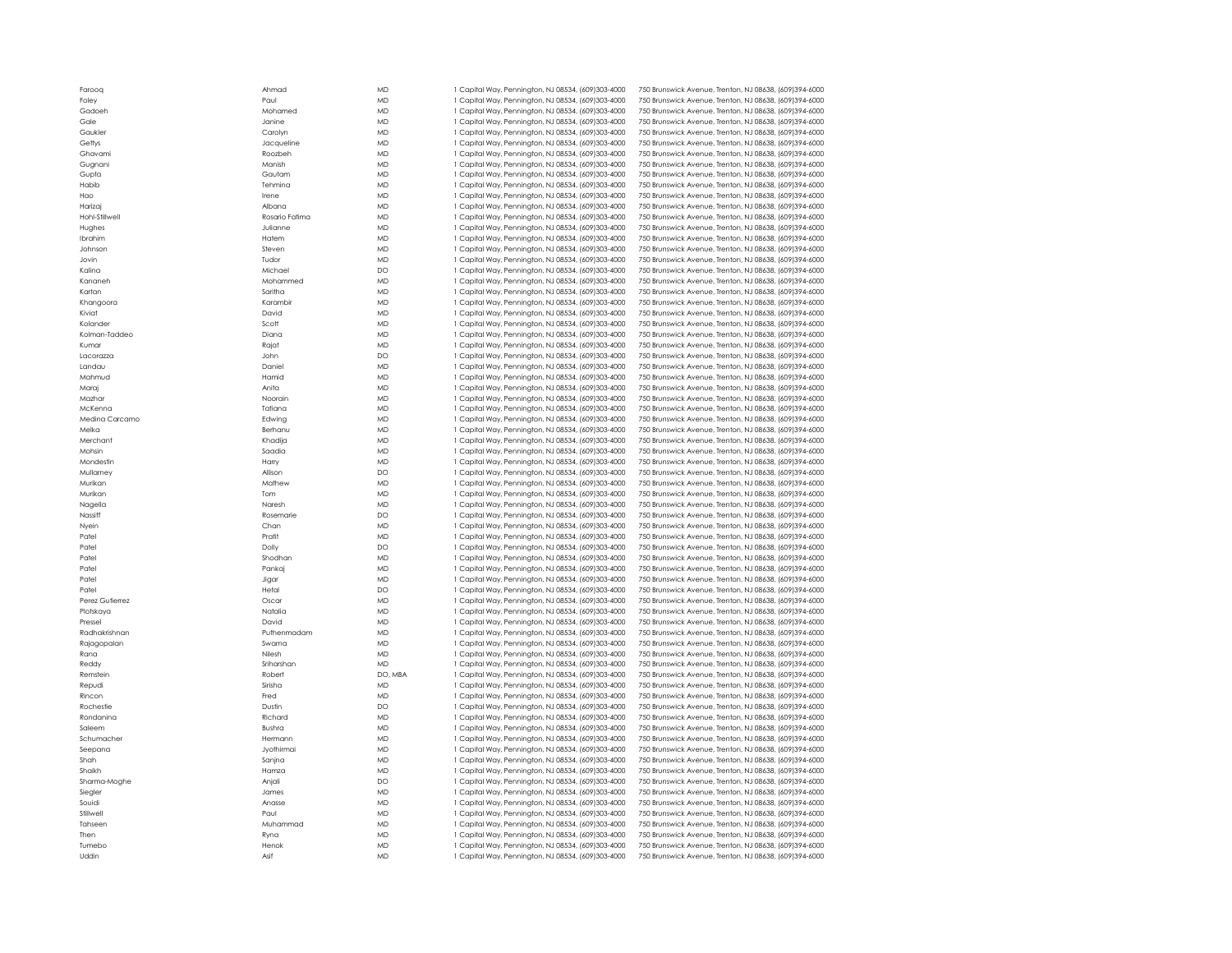| aul <sup>'</sup>                                                                                                                    |
|-------------------------------------------------------------------------------------------------------------------------------------|
| <b>Aohamed</b>                                                                                                                      |
| lanine                                                                                                                              |
| Carolyn                                                                                                                             |
| acqueline                                                                                                                           |
| cozbeh?                                                                                                                             |
| Aanish                                                                                                                              |
| Gautam                                                                                                                              |
| ehmina                                                                                                                              |
|                                                                                                                                     |
| rene                                                                                                                                |
| <b>Nbana</b>                                                                                                                        |
| asario Fatima                                                                                                                       |
| Ulianne                                                                                                                             |
| <b>latem</b>                                                                                                                        |
| iteven                                                                                                                              |
| udor                                                                                                                                |
| <b>Aichael</b>                                                                                                                      |
| <b>Aohammed</b>                                                                                                                     |
| iaritha                                                                                                                             |
| .<br>Grambir                                                                                                                        |
| )avid                                                                                                                               |
| icott                                                                                                                               |
| Diana                                                                                                                               |
| ajat?                                                                                                                               |
| lohn                                                                                                                                |
|                                                                                                                                     |
| <b>Daniel</b>                                                                                                                       |
| lamid                                                                                                                               |
| <b>\nita</b>                                                                                                                        |
| <b>Joorain</b>                                                                                                                      |
| atiana                                                                                                                              |
| dwing                                                                                                                               |
| erhanu                                                                                                                              |
| hadija)                                                                                                                             |
| iaadia                                                                                                                              |
| larry                                                                                                                               |
| <b>Nlison</b>                                                                                                                       |
| Aathew                                                                                                                              |
| <b>om</b>                                                                                                                           |
| <b>Jaresh</b>                                                                                                                       |
| asemarie?                                                                                                                           |
| Chan                                                                                                                                |
| ratit                                                                                                                               |
|                                                                                                                                     |
| <b>Jolly</b>                                                                                                                        |
| hodhan                                                                                                                              |
|                                                                                                                                     |
| ankaj                                                                                                                               |
| ligar                                                                                                                               |
| letal                                                                                                                               |
|                                                                                                                                     |
|                                                                                                                                     |
|                                                                                                                                     |
|                                                                                                                                     |
|                                                                                                                                     |
|                                                                                                                                     |
|                                                                                                                                     |
|                                                                                                                                     |
|                                                                                                                                     |
|                                                                                                                                     |
|                                                                                                                                     |
| <b>Dscar</b><br><b>Jatalia</b><br>)avid<br>uthenmadam<br>iwarna<br><b>Jilesh</b><br>iriharshan<br>obert?<br>irisha<br>red<br>)ustin |
| ichard                                                                                                                              |
| <b>Sushra</b>                                                                                                                       |
| lermann                                                                                                                             |
| lyothirmai                                                                                                                          |
|                                                                                                                                     |
| ianjna<br>lamza                                                                                                                     |
|                                                                                                                                     |
|                                                                                                                                     |
| <b>\njali</b><br>lames<br>Anasse                                                                                                    |
|                                                                                                                                     |
|                                                                                                                                     |
|                                                                                                                                     |
| 'aul<br>Auhammad<br>lyna                                                                                                            |
| <b>lenok</b><br><b>\sif</b>                                                                                                         |

| Farooq          | Ahmad          | <b>MD</b>              | 1 Capital Way, Pennington, NJ 08534, (609)303-4000                                                       | 750 Brunswick Avenue, Trenton, NJ 08638, (609)394-6000                                                           |
|-----------------|----------------|------------------------|----------------------------------------------------------------------------------------------------------|------------------------------------------------------------------------------------------------------------------|
| Foley           | Paul           | <b>MD</b>              | 1 Capital Way, Pennington, NJ 08534, (609)303-4000                                                       | 750 Brunswick Avenue, Trenton, NJ 08638, (609)394-6000                                                           |
| Gadoeh          | Mohamed        | <b>MD</b>              | 1 Capital Way, Pennington, NJ 08534, (609)303-4000                                                       | 750 Brunswick Avenue, Trenton, NJ 08638, (609)394-6000                                                           |
| Gale            | Janine         | <b>MD</b>              | 1 Capital Way, Pennington, NJ 08534, (609)303-4000                                                       | 750 Brunswick Avenue, Trenton, NJ 08638, (609)394-6000                                                           |
| Gaukler         | Carolyn        | <b>MD</b>              | 1 Capital Way, Pennington, NJ 08534, (609)303-4000                                                       | 750 Brunswick Avenue, Trenton, NJ 08638, (609)394-6000                                                           |
| Gettys          | Jacqueline     | <b>MD</b>              | 1 Capital Way, Pennington, NJ 08534, (609)303-4000                                                       | 750 Brunswick Avenue, Trenton, NJ 08638, (609)394-6000                                                           |
| Ghavami         | Roozbeh        | <b>MD</b>              | 1 Capital Way, Pennington, NJ 08534, (609)303-4000                                                       | 750 Brunswick Avenue, Trenton, NJ 08638, (609)394-6000                                                           |
| Gugnani         | Manish         | <b>MD</b>              | 1 Capital Way, Pennington, NJ 08534, (609)303-4000                                                       | 750 Brunswick Avenue, Trenton, NJ 08638, (609)394-6000                                                           |
|                 |                |                        |                                                                                                          |                                                                                                                  |
| Gupta           | Gautam         | <b>MD</b>              | 1 Capital Way, Pennington, NJ 08534, (609)303-4000                                                       | 750 Brunswick Avenue, Trenton, NJ 08638, (609)394-6000                                                           |
| Habib           | Tehmina        | <b>MD</b>              | 1 Capital Way, Pennington, NJ 08534, (609)303-4000                                                       | 750 Brunswick Avenue, Trenton, NJ 08638, (609)394-6000                                                           |
| Hao             | Irene          | <b>MD</b>              | 1 Capital Way, Pennington, NJ 08534, (609)303-4000                                                       | 750 Brunswick Avenue, Trenton, NJ 08638, (609)394-6000                                                           |
| Harizaj         | Albana         | <b>MD</b>              | 1 Capital Way, Pennington, NJ 08534, (609)303-4000                                                       | 750 Brunswick Avenue, Trenton, NJ 08638, (609)394-6000                                                           |
| Hohl-Stillwell  | Rosario Fatima | <b>MD</b>              | 1 Capital Way, Pennington, NJ 08534, (609)303-4000                                                       | 750 Brunswick Avenue, Trenton, NJ 08638, (609)394-6000                                                           |
| Hughes          | Julianne       | <b>MD</b>              | 1 Capital Way, Pennington, NJ 08534, (609)303-4000                                                       | 750 Brunswick Avenue, Trenton, NJ 08638, (609)394-6000                                                           |
| <b>Ibrahim</b>  | Hatem          | <b>MD</b>              | 1 Capital Way, Pennington, NJ 08534, (609)303-4000                                                       | 750 Brunswick Avenue, Trenton, NJ 08638, (609)394-6000                                                           |
| Johnson         | Steven         | <b>MD</b>              | 1 Capital Way, Pennington, NJ 08534, (609)303-4000                                                       | 750 Brunswick Avenue, Trenton, NJ 08638, (609)394-6000                                                           |
| Jovin           | Tudor          | <b>MD</b>              | 1 Capital Way, Pennington, NJ 08534, (609)303-4000                                                       | 750 Brunswick Avenue, Trenton, NJ 08638, (609)394-6000                                                           |
| Kalina          | Michael        | <b>DO</b>              | 1 Capital Way, Pennington, NJ 08534, (609)303-4000                                                       | 750 Brunswick Avenue, Trenton, NJ 08638, (609)394-6000                                                           |
| Kananeh         | Mohammed       | <b>MD</b>              | 1 Capital Way, Pennington, NJ 08534, (609)303-4000                                                       | 750 Brunswick Avenue, Trenton, NJ 08638, (609)394-6000                                                           |
| Kartan          | Saritha        | <b>MD</b>              | 1 Capital Way, Pennington, NJ 08534, (609)303-4000                                                       | 750 Brunswick Avenue, Trenton, NJ 08638, (609)394-6000                                                           |
|                 |                | <b>MD</b>              |                                                                                                          |                                                                                                                  |
| Khangoora       | Karambir       |                        | 1 Capital Way, Pennington, NJ 08534, (609)303-4000                                                       | 750 Brunswick Avenue, Trenton, NJ 08638, (609)394-6000                                                           |
| Kiviat          | David          | <b>MD</b>              | 1 Capital Way, Pennington, NJ 08534, (609)303-4000                                                       | 750 Brunswick Avenue, Trenton, NJ 08638, (609)394-6000                                                           |
| Kolander        | Scott          | <b>MD</b>              | 1 Capital Way, Pennington, NJ 08534, (609)303-4000                                                       | 750 Brunswick Avenue, Trenton, NJ 08638, (609)394-6000                                                           |
| Kolman-Taddeo   | Diana          | <b>MD</b>              | 1 Capital Way, Pennington, NJ 08534, (609)303-4000                                                       | 750 Brunswick Avenue, Trenton, NJ 08638, (609)394-6000                                                           |
| Kumar           | Rajat          | <b>MD</b>              | 1 Capital Way, Pennington, NJ 08534, (609)303-4000                                                       | 750 Brunswick Avenue, Trenton, NJ 08638, (609)394-6000                                                           |
| Lacorazza       | John           | <b>DO</b>              | 1 Capital Way, Pennington, NJ 08534, (609)303-4000                                                       | 750 Brunswick Avenue, Trenton, NJ 08638, (609)394-6000                                                           |
| Landau          | Daniel         | <b>MD</b>              | 1 Capital Way, Pennington, NJ 08534, (609)303-4000                                                       | 750 Brunswick Avenue, Trenton, NJ 08638, (609)394-6000                                                           |
| Mahmud          | Hamid          | <b>MD</b>              | 1 Capital Way, Pennington, NJ 08534, (609)303-4000                                                       | 750 Brunswick Avenue, Trenton, NJ 08638, (609)394-6000                                                           |
| Maraj           | Anita          | <b>MD</b>              | 1 Capital Way, Pennington, NJ 08534, (609)303-4000                                                       | 750 Brunswick Avenue, Trenton, NJ 08638, (609)394-6000                                                           |
|                 |                | <b>MD</b>              |                                                                                                          |                                                                                                                  |
| Mazhar          | Noorain        |                        | 1 Capital Way, Pennington, NJ 08534, (609)303-4000                                                       | 750 Brunswick Avenue, Trenton, NJ 08638, (609)394-6000                                                           |
| McKenna         | Tatiana        | <b>MD</b>              | 1 Capital Way, Pennington, NJ 08534, (609)303-4000                                                       | 750 Brunswick Avenue, Trenton, NJ 08638, (609)394-6000                                                           |
| Medina Carcamo  | Edwing         | <b>MD</b>              | 1 Capital Way, Pennington, NJ 08534, (609)303-4000                                                       | 750 Brunswick Avenue, Trenton, NJ 08638, (609)394-6000                                                           |
| Melka           | Berhanu        | <b>MD</b>              | 1 Capital Way, Pennington, NJ 08534, (609)303-4000                                                       | 750 Brunswick Avenue, Trenton, NJ 08638, (609)394-6000                                                           |
| Merchant        | Khadija        | MD                     | 1 Capital Way, Pennington, NJ 08534, (609)303-4000                                                       | 750 Brunswick Avenue, Trenton, NJ 08638, (609)394-6000                                                           |
| Mohsin          | Saadia         | <b>MD</b>              | 1 Capital Way, Pennington, NJ 08534, (609)303-4000                                                       | 750 Brunswick Avenue, Trenton, NJ 08638, (609)394-6000                                                           |
| Mondestin       | Harry          | <b>MD</b>              | 1 Capital Way, Pennington, NJ 08534, (609)303-4000                                                       | 750 Brunswick Avenue, Trenton, NJ 08638, (609)394-6000                                                           |
| Mullarney       | Allison        | <b>DO</b>              | 1 Capital Way, Pennington, NJ 08534, (609)303-4000                                                       | 750 Brunswick Avenue, Trenton, NJ 08638, (609)394-6000                                                           |
| Murikan         | Mathew         | <b>MD</b>              | 1 Capital Way, Pennington, NJ 08534, (609)303-4000                                                       | 750 Brunswick Avenue, Trenton, NJ 08638, (609)394-6000                                                           |
|                 |                |                        |                                                                                                          |                                                                                                                  |
| Murikan         | Tom            | <b>MD</b>              | 1 Capital Way, Pennington, NJ 08534, (609)303-4000                                                       | 750 Brunswick Avenue, Trenton, NJ 08638, (609)394-6000                                                           |
| Nagella         | Naresh         | <b>MD</b>              | 1 Capital Way, Pennington, NJ 08534, (609)303-4000                                                       | 750 Brunswick Avenue, Trenton, NJ 08638, (609)394-6000                                                           |
| Nassiff         | Rosemarie      | DO                     | 1 Capital Way, Pennington, NJ 08534, (609)303-4000                                                       | 750 Brunswick Avenue, Trenton, NJ 08638, (609)394-6000                                                           |
| Nyein           | Chan           | <b>MD</b>              | 1 Capital Way, Pennington, NJ 08534, (609)303-4000                                                       | 750 Brunswick Avenue, Trenton, NJ 08638, (609)394-6000                                                           |
| Patel           | Pratit         | <b>MD</b>              | 1 Capital Way, Pennington, NJ 08534, (609)303-4000                                                       | 750 Brunswick Avenue, Trenton, NJ 08638, (609)394-6000                                                           |
| Patel           | Dolly          | DO                     | 1 Capital Way, Pennington, NJ 08534, (609)303-4000                                                       | 750 Brunswick Avenue, Trenton, NJ 08638, (609)394-6000                                                           |
| Patel           | Shodhan        | <b>MD</b>              | 1 Capital Way, Pennington, NJ 08534, (609)303-4000                                                       | 750 Brunswick Avenue, Trenton, NJ 08638, (609)394-6000                                                           |
| Patel           | Pankaj         | <b>MD</b>              | 1 Capital Way, Pennington, NJ 08534, (609)303-4000                                                       | 750 Brunswick Avenue, Trenton, NJ 08638, (609)394-6000                                                           |
| Patel           | Jigar          | <b>MD</b>              | 1 Capital Way, Pennington, NJ 08534, (609)303-4000                                                       | 750 Brunswick Avenue, Trenton, NJ 08638, (609)394-6000                                                           |
| Patel           | Hetal          | <b>DO</b>              | 1 Capital Way, Pennington, NJ 08534, (609)303-4000                                                       | 750 Brunswick Avenue, Trenton, NJ 08638, (609)394-6000                                                           |
|                 |                |                        |                                                                                                          |                                                                                                                  |
| Perez Gutierrez | Oscar          | <b>MD</b>              | 1 Capital Way, Pennington, NJ 08534, (609)303-4000                                                       | 750 Brunswick Avenue, Trenton, NJ 08638, (609)394-6000                                                           |
| Plotskaya       | Natalia        | <b>MD</b>              | 1 Capital Way, Pennington, NJ 08534, (609)303-4000                                                       | 750 Brunswick Avenue, Trenton, NJ 08638, (609)394-6000                                                           |
| Pressel         | David          | <b>MD</b>              | 1 Capital Way, Pennington, NJ 08534, (609)303-4000                                                       | 750 Brunswick Avenue, Trenton, NJ 08638, (609)394-6000                                                           |
| Radhakrishnan   | Puthenmadam    | <b>MD</b>              | 1 Capital Way, Pennington, NJ 08534, (609)303-4000                                                       | 750 Brunswick Avenue, Trenton, NJ 08638, (609)394-6000                                                           |
| Rajagopalan     | Swarna         | <b>MD</b>              | 1 Capital Way, Pennington, NJ 08534, (609)303-4000                                                       | 750 Brunswick Avenue, Trenton, NJ 08638, (609)394-6000                                                           |
| Rana            | Nilesh         | <b>MD</b>              | 1 Capital Way, Pennington, NJ 08534, (609)303-4000                                                       | 750 Brunswick Avenue, Trenton, NJ 08638, (609)394-6000                                                           |
| Reddy           | Sriharshan     | <b>MD</b>              | 1 Capital Way, Pennington, NJ 08534, (609)303-4000                                                       | 750 Brunswick Avenue, Trenton, NJ 08638, (609)394-6000                                                           |
| Remstein        | Robert         | DO, MBA                | 1 Capital Way, Pennington, NJ 08534, (609)303-4000                                                       | 750 Brunswick Avenue, Trenton, NJ 08638, (609)394-6000                                                           |
| Repudi          | Sirisha        | <b>MD</b>              | 1 Capital Way, Pennington, NJ 08534, (609)303-4000                                                       | 750 Brunswick Avenue, Trenton, NJ 08638, (609)394-6000                                                           |
| Rincon          | Fred           | <b>MD</b>              | 1 Capital Way, Pennington, NJ 08534, (609)303-4000                                                       | 750 Brunswick Avenue, Trenton, NJ 08638, (609)394-6000                                                           |
| Rochestie       | Dustin         | <b>DO</b>              | 1 Capital Way, Pennington, NJ 08534, (609)303-4000                                                       | 750 Brunswick Avenue, Trenton, NJ 08638, (609)394-6000                                                           |
|                 |                |                        |                                                                                                          |                                                                                                                  |
| Rondanina       | Richard        | MD                     | 1 Capital Way, Pennington, NJ 08534, (609)303-4000                                                       | 750 Brunswick Avenue, Trenton, NJ 08638, (609)394-6000                                                           |
| Saleem          | Bushra         | <b>MD</b>              | 1 Capital Way, Pennington, NJ 08534, (609)303-4000                                                       | 750 Brunswick Avenue, Trenton, NJ 08638, (609)394-6000                                                           |
| Schumacher      | Hermann        | <b>MD</b>              | 1 Capital Way, Pennington, NJ 08534, (609)303-4000                                                       | 750 Brunswick Avenue, Trenton, NJ 08638, (609)394-6000                                                           |
| Seepana         | Jyothirmai     | <b>MD</b>              | 1 Capital Way, Pennington, NJ 08534, (609)303-4000                                                       | 750 Brunswick Avenue, Trenton, NJ 08638, (609)394-6000                                                           |
| Shah            | Sanjna         | MD                     | 1 Capital Way, Pennington, NJ 08534, (609)303-4000                                                       | 750 Brunswick Avenue, Trenton, NJ 08638, (609)394-6000                                                           |
| Shaikh          |                | <b>MD</b>              | 1 Capital Way, Pennington, NJ 08534, (609)303-4000                                                       | 750 Brunswick Avenue, Trenton, NJ 08638, (609)394-6000                                                           |
|                 | Hamza          |                        |                                                                                                          |                                                                                                                  |
| Sharma-Moghe    | Anjali         | <b>DO</b>              | 1 Capital Way, Pennington, NJ 08534, (609)303-4000                                                       | 750 Brunswick Avenue, Trenton, NJ 08638, (609)394-6000                                                           |
|                 |                |                        |                                                                                                          |                                                                                                                  |
| Siegler         | James          | <b>MD</b>              | 1 Capital Way, Pennington, NJ 08534, (609)303-4000                                                       | 750 Brunswick Avenue, Trenton, NJ 08638, (609)394-6000                                                           |
| Souidi          | Anasse         | <b>MD</b>              | 1 Capital Way, Pennington, NJ 08534, (609)303-4000                                                       | 750 Brunswick Avenue, Trenton, NJ 08638, (609)394-6000                                                           |
| Stillwell       | Paul           | <b>MD</b>              | 1 Capital Way, Pennington, NJ 08534, (609)303-4000                                                       | 750 Brunswick Avenue, Trenton, NJ 08638, (609)394-6000                                                           |
| Tahseen         | Muhammad       | <b>MD</b>              | 1 Capital Way, Pennington, NJ 08534, (609)303-4000                                                       | 750 Brunswick Avenue, Trenton, NJ 08638, (609)394-6000                                                           |
| Then            | Ryna           | <b>MD</b>              | 1 Capital Way, Pennington, NJ 08534, (609)303-4000                                                       | 750 Brunswick Avenue, Trenton, NJ 08638, (609)394-6000                                                           |
| Tumebo<br>Uddin | Henok<br>Asif  | <b>MD</b><br><b>MD</b> | 1 Capital Way, Pennington, NJ 08534, (609)303-4000<br>1 Capital Way, Pennington, NJ 08534, (609)303-4000 | 750 Brunswick Avenue, Trenton, NJ 08638, (609)394-6000<br>750 Brunswick Avenue, Trenton, NJ 08638, (609)394-6000 |